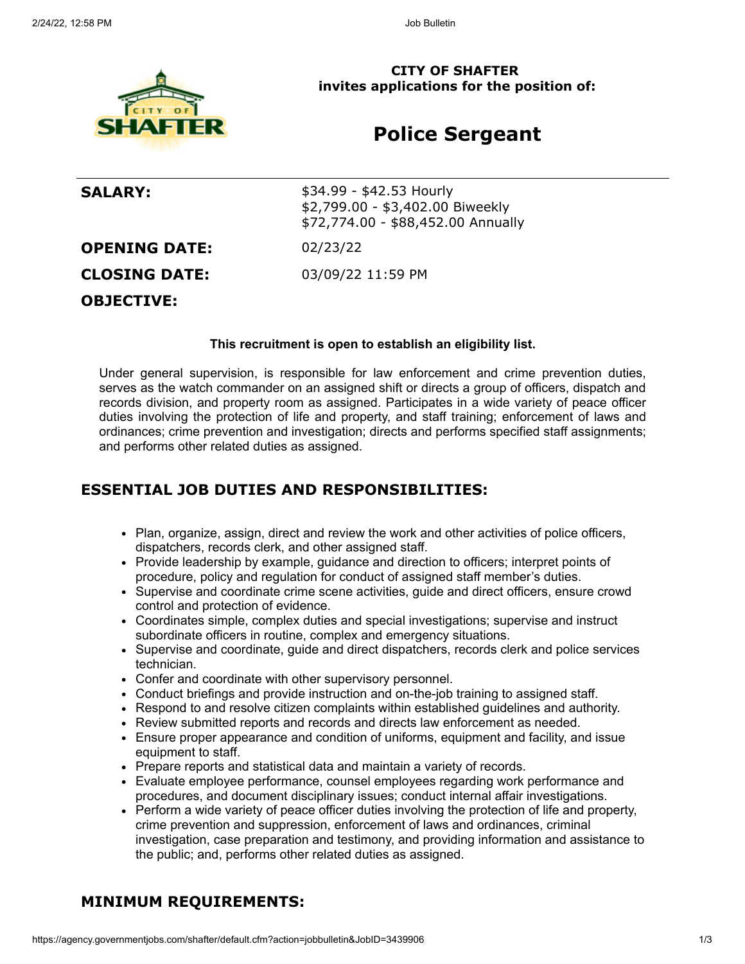

**CITY OF SHAFTER invites applications for the position of:**

# **Police Sergeant**

**SALARY:**  $$34.99 - $42.53$  Hourly \$2,799.00 - \$3,402.00 Biweekly \$72,774.00 - \$88,452.00 Annually **OPENING DATE:** 02/23/22 **CLOSING DATE:** 03/09/22 11:59 PM **OBJECTIVE:**

#### **This recruitment is open to establish an eligibility list.**

Under general supervision, is responsible for law enforcement and crime prevention duties, serves as the watch commander on an assigned shift or directs a group of officers, dispatch and records division, and property room as assigned. Participates in a wide variety of peace officer duties involving the protection of life and property, and staff training; enforcement of laws and ordinances; crime prevention and investigation; directs and performs specified staff assignments; and performs other related duties as assigned.

### **ESSENTIAL JOB DUTIES AND RESPONSIBILITIES:**

- Plan, organize, assign, direct and review the work and other activities of police officers, dispatchers, records clerk, and other assigned staff.
- Provide leadership by example, guidance and direction to officers; interpret points of procedure, policy and regulation for conduct of assigned staff member's duties.
- Supervise and coordinate crime scene activities, guide and direct officers, ensure crowd control and protection of evidence.
- Coordinates simple, complex duties and special investigations; supervise and instruct subordinate officers in routine, complex and emergency situations.
- Supervise and coordinate, guide and direct dispatchers, records clerk and police services technician.
- Confer and coordinate with other supervisory personnel.
- Conduct briefings and provide instruction and on-the-job training to assigned staff.
- Respond to and resolve citizen complaints within established guidelines and authority.
- Review submitted reports and records and directs law enforcement as needed.
- Ensure proper appearance and condition of uniforms, equipment and facility, and issue equipment to staff.
- Prepare reports and statistical data and maintain a variety of records.
- Evaluate employee performance, counsel employees regarding work performance and procedures, and document disciplinary issues; conduct internal affair investigations.
- Perform a wide variety of peace officer duties involving the protection of life and property, crime prevention and suppression, enforcement of laws and ordinances, criminal investigation, case preparation and testimony, and providing information and assistance to the public; and, performs other related duties as assigned.

## **MINIMUM REQUIREMENTS:**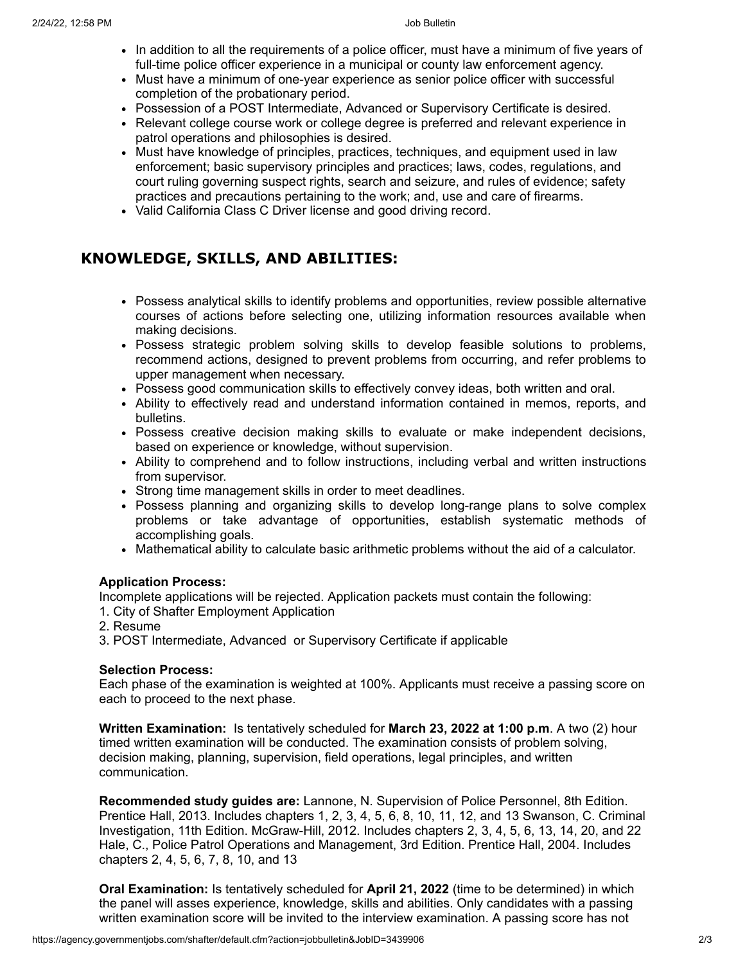- In addition to all the requirements of a police officer, must have a minimum of five years of full-time police officer experience in a municipal or county law enforcement agency.
- Must have a minimum of one-year experience as senior police officer with successful completion of the probationary period.
- Possession of a POST Intermediate, Advanced or Supervisory Certificate is desired.
- Relevant college course work or college degree is preferred and relevant experience in patrol operations and philosophies is desired.
- Must have knowledge of principles, practices, techniques, and equipment used in law enforcement; basic supervisory principles and practices; laws, codes, regulations, and court ruling governing suspect rights, search and seizure, and rules of evidence; safety practices and precautions pertaining to the work; and, use and care of firearms.
- Valid California Class C Driver license and good driving record.

## **KNOWLEDGE, SKILLS, AND ABILITIES:**

- Possess analytical skills to identify problems and opportunities, review possible alternative courses of actions before selecting one, utilizing information resources available when making decisions.
- Possess strategic problem solving skills to develop feasible solutions to problems, recommend actions, designed to prevent problems from occurring, and refer problems to upper management when necessary.
- Possess good communication skills to effectively convey ideas, both written and oral.
- Ability to effectively read and understand information contained in memos, reports, and bulletins.
- Possess creative decision making skills to evaluate or make independent decisions, based on experience or knowledge, without supervision.
- Ability to comprehend and to follow instructions, including verbal and written instructions from supervisor.
- Strong time management skills in order to meet deadlines.
- Possess planning and organizing skills to develop long-range plans to solve complex problems or take advantage of opportunities, establish systematic methods of accomplishing goals.
- Mathematical ability to calculate basic arithmetic problems without the aid of a calculator.

### **Application Process:**

Incomplete applications will be rejected. Application packets must contain the following:

- 1. City of Shafter Employment Application
- 2. Resume
- 3. POST Intermediate, Advanced or Supervisory Certificate if applicable

### **Selection Process:**

Each phase of the examination is weighted at 100%. Applicants must receive a passing score on each to proceed to the next phase.

**Written Examination:** Is tentatively scheduled for **March 23, 2022 at 1:00 p.m**. A two (2) hour timed written examination will be conducted. The examination consists of problem solving, decision making, planning, supervision, field operations, legal principles, and written communication.

**Recommended study guides are:** Lannone, N. Supervision of Police Personnel, 8th Edition. Prentice Hall, 2013. Includes chapters 1, 2, 3, 4, 5, 6, 8, 10, 11, 12, and 13 Swanson, C. Criminal Investigation, 11th Edition. McGraw-Hill, 2012. Includes chapters 2, 3, 4, 5, 6, 13, 14, 20, and 22 Hale, C., Police Patrol Operations and Management, 3rd Edition. Prentice Hall, 2004. Includes chapters 2, 4, 5, 6, 7, 8, 10, and 13

**Oral Examination:** Is tentatively scheduled for **April 21, 2022** (time to be determined) in which the panel will asses experience, knowledge, skills and abilities. Only candidates with a passing written examination score will be invited to the interview examination. A passing score has not